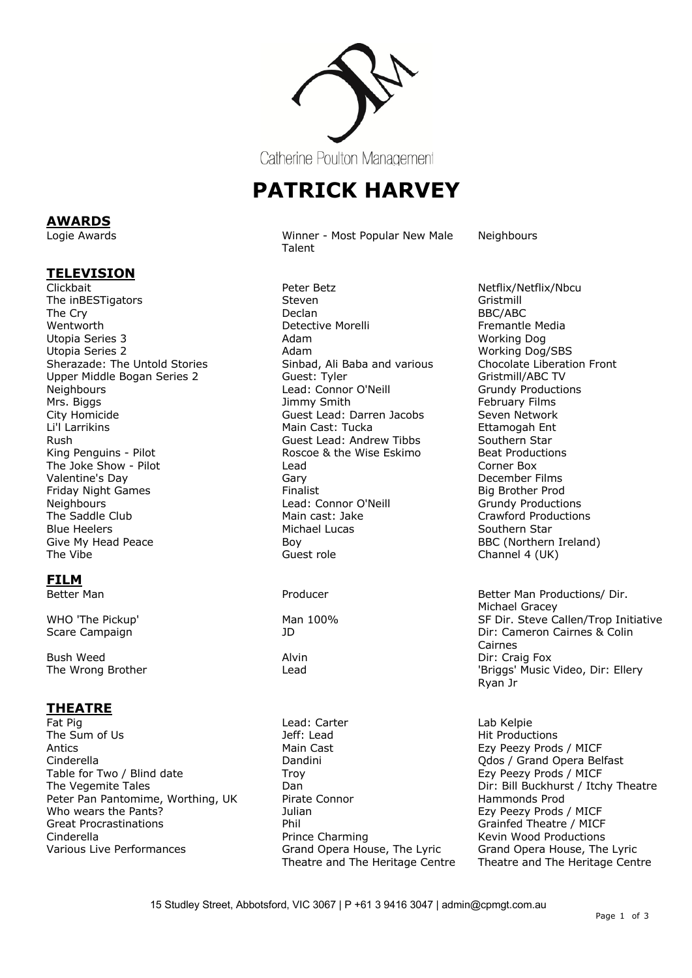

Catherine Poulton Management

## **PATRICK HARVEY**

Logie Awards Winner - Most Popular New Male Talent

**Neighbours** 

Clickbait Peter Betz Netflix/Netflix/Nbcu The inBESTigators and the steven Steven Controller of the Steven Gristmill The Cry and BBC/ABC and BBC/ABC and BBC/ABC and BBC/ABC and BBC/ABC and BBC/ABC Wentworth Detective Morelli Fremantle Media Utopia Series 3 Adam Utopia Series 2 **Adam** Adam Adam **Working Dog/SBS** Working Dog/SBS<br>Sherazade: The Untold Stories **Manuel State Adam Sinbad, Ali Baba** and various Chocolate Liberation Front Upper Middle Bogan Series 2 Guest: Tyler Gristmill/ABC TV Neighbours **Neighbours Lead: Connor O'Neill** Mrs. Biggs Jimmy Smith February Films City Homicide Guest Lead: Darren Jacobs Seven Network Rush Guest Lead: Andrew Tibbs Southern Star King Penguins - Pilot **Roscoe & the Wise Eskimo** Beat Productions The Joke Show - Pilot **Lead** Corner Box **Corner Box** Valentine's Day **Gary** Gary Gary Gary Controller Eilms Christian Barry Controller Eilms Controller Eilms Controller<br>
Period Big Brother Prod Friday Night Games<br>
Neighbours
Head: Connor O'Neill Neighbours **Lead: Connor O'Neill** Grundy Productions<br>The Saddle Club **Crawford Production** Main cast: Jake **Crawford Production** Blue Heelers **Michael Lucas** Southern Star Michael Lucas Southern Star Southern Star<br>Give My Head Peace **Southern** Boy The Vibe **Guest role** Channel 4 (UK)

## **FILM**

**AWARDS**

**TELEVISION**

Bush Weed **Alvin Bush Weed Contains Alvin Direct Contains Alvin Direct Contains Alvin** 

# **THEATRE**

Fat Pig The Sum of Us and the Use of the Lead: Carter The Sum of Use Carter Carter Carter Captus Lab Kelpie Antics **Main Cast** Main Cast **Ezy Peezy Prods / MICF** MICF Cinderella Dandini Qdos / Grand Opera Belfast Table for Two / Blind date Troy Troy From Troversian Case of the Troy Ezy Peezy Prods / MICF The Vegemite Tales The South Claim Communication of the Diricular Diriculum Diriculum Diriculum Diriculum Diri Peter Pan Pantomime, Worthing, UK Pirate Connor From Hammonds Prod Who wears the Pants? The Communisties of the Sullian Ezy Peezy Prods / MICF Great Procrastinations **Example 20 For the Phil** Creat Procrastinations and Phil Grainfed Theatre / MICF Cinderella **Prince Charming** Kevin Wood Productions<br>
Various Live Performances Crand Opera House, The Lyric Grand Opera House, The

Sinbad, Ali Baba and various Chocolate Libera<br>Guest: Tyler Guestion Gristmill/ABC TV Main Cast: Tucka Boy BBC (Northern Ireland)

Grand Opera House, The Lyric Theatre and The Heritage Centre Crawford Productions

Better Man **Producer** Producer **Better Man Productions**/ Dir. Michael Gracey WHO 'The Pickup' National Man 100% Noting the SF Dir. Steve Callen/Trop Initiative Scare Campaign JD Dir: Cameron Cairnes & Colin Cairnes The Wrong Brother The Lead Communication of the United States of the United States of the Lead Communication of the United States of the United States of the United States of the United States of the United States of the U Ryan Jr

> **Hit Productions** Grand Opera House, The Lyric Theatre and The Heritage Centre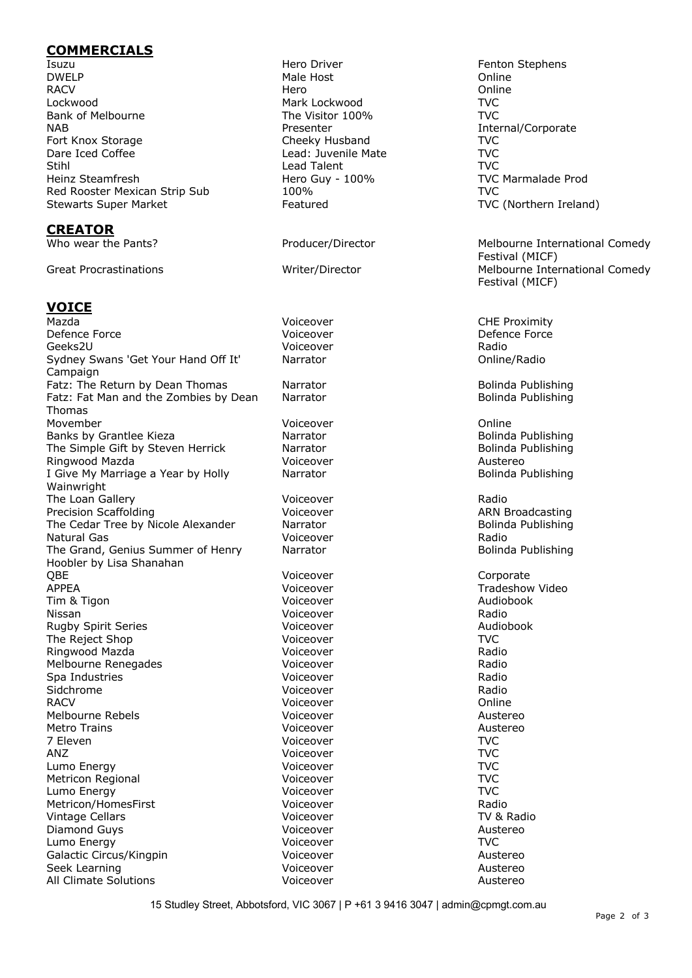#### **COMMERCIALS**

Isuzu Hero Driver Fenton Stephens DWELP Male Host Online RACV Hero Online Lockwood Mark Lockwood TVC Bank of Melbourne The Visitor 100% TVC NAB Presenter Presenter Internal/Corporate Fort Knox Storage TVC Cheeky Husband TVC Dare Iced Coffee **Lead:** Juvenile Mate Lead: Juvenile Mate Stihl Lead Talent TVC Heinz Steamfresh **Hero Guy - 100%** TVC Marmalade Prod Red Rooster Mexican Strip Sub 100% TVC Stewarts Super Market The Featured TVC (Northern Ireland)

#### **CREATOR**

## **VOICE**

Mazda **CHE Proximity** CHE Proximity CHE Proximity Defence Force **Defence Force Defence Force Defence Force Defence Force Defence Force** Geeks2U Voiceover Radio Sydney Swans 'Get Your Hand Off It' Campaign Fatz: The Return by Dean Thomas Narrator Narrator Bolinda Publishing Fatz: Fat Man and the Zombies by Dean Thomas Movember Voiceover Online Banks by Grantlee Kieza **Narrator** Narrator **Bolinda Publishing** Bolinda Publishing The Simple Gift by Steven Herrick Marrator Narrator Channel Bolinda Publishing<br>Ringwood Mazda Narrator Boliceover Channel Communist Channel Austereo Ringwood Mazda **Mazda** Maximus Martin Music Voiceover **Austereo** Austereo I Give My Marriage a Year by Holly Wainwright The Loan Gallery **Containers** Voiceover **Containers** Radio Precision Scaffolding The Control of Control Voiceover The Control of ARN Broadcasting The Cedar Tree by Nicole Alexander Marrator Narrator and Bolinda Publishing Natural Gas Voiceover Radio The Grand, Genius Summer of Henry Hoobler by Lisa Shanahan QBE Voiceover Corporate APPEA Voiceover Tradeshow Video Tim & Tigon Note of the Control of Control Voiceover Note 2012 and Audiobook Nissan Voiceover Radio Rugby Spirit Series Voiceover Audiobook The Reject Shop **Voiceover** TVC Ringwood Mazda Voiceover Radio Melbourne Renegades Voiceover Radio Spa Industries Voiceover Radio Sidchrome Voiceover Radio RACV Voiceover Online Melbourne Rebels Voiceover Austereo Metro Trains **Metro Trains Metro Trains Austereo** 7 Eleven Voiceover TVC ANZ Voiceover TVC Lumo Energy Voiceover TVC Metricon Regional Voiceover TVC Lumo Energy Voiceover TVC Metricon/HomesFirst Voiceover Radio Vintage Cellars Diamond Guys **Contract Contract Contract Contract Voiceover Austereo** Lumo Energy **TVC** Galactic Circus/Kingpin The Control of Control Voiceover Control of Austereo Seek Learning **Seek Learning** Seek Learning **Austereo** Voiceover **Austereo** Austereo All Climate Solutions **Austereo** Voiceover **Austereo** Austereo

Who wear the Pants? The Producer/Director Melbourne International Comedy Festival (MICF) Great Procrastinations **Melbourne International Comedy** Writer/Director Melbourne International Comedy Festival (MICF)

Narrator **National Community** Online/Radio

Narrator **Bolinda Publishing** 

Narrator **Bolinda Publishing** 

Narrator **Bolinda Publishing** 

15 Studley Street, Abbotsford, VIC 3067 | P +61 3 9416 3047 | admin@cpmgt.com.au